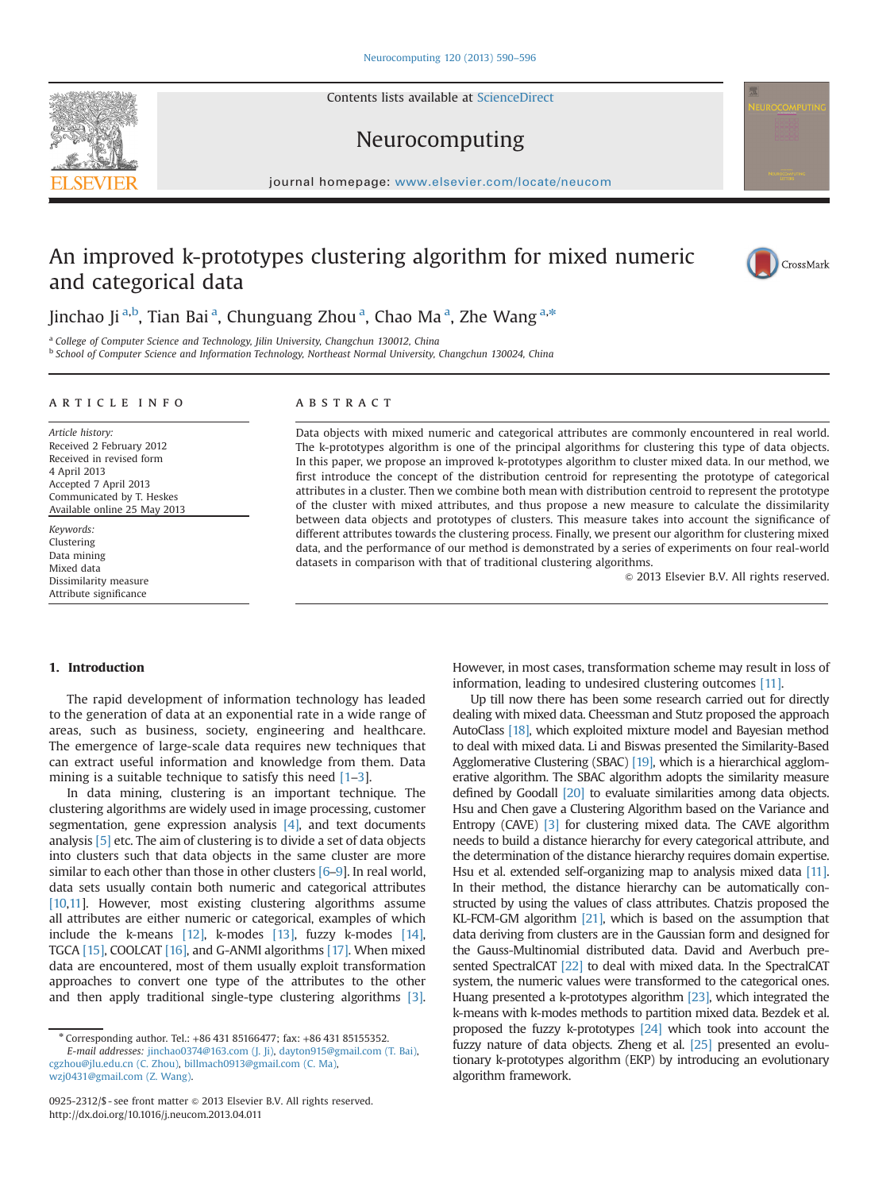Contents lists available at ScienceDirect

# Neurocomputing

 $j$  is a companion of  $\alpha$  is a companion of  $\alpha$ 

# An improved k-prototypes clustering algorithm for mixed numeric and categorical data



Jinchao Ji <sup>a,b</sup>, Tian Bai <sup>a</sup>, Chunguang Zhou <sup>a</sup>, Chao Ma <sup>a</sup>, Zhe Wang <sup>a,\*</sup>

<sup>a</sup> College of Computer Science and Technology, Jilin University, Changchun 130012, China

b School of Computer Science and Information Technology, Northeast Normal University, Changchun 130024, China

#### article info

Article history: Received 2 February 2012 Received in revised form 4 April 2013 Accepted 7 April 2013 Communicated by T. Heskes Available online 25 May 2013

Keywords: Clustering Data mining Mixed data Dissimilarity measure Attribute significance

## **ABSTRACT**

Data objects with mixed numeric and categorical attributes are commonly encountered in real world. The k-prototypes algorithm is one of the principal algorithms for clustering this type of data objects. In this paper, we propose an improved k-prototypes algorithm to cluster mixed data. In our method, we first introduce the concept of the distribution centroid for representing the prototype of categorical attributes in a cluster. Then we combine both mean with distribution centroid to represent the prototype of the cluster with mixed attributes, and thus propose a new measure to calculate the dissimilarity between data objects and prototypes of clusters. This measure takes into account the significance of different attributes towards the clustering process. Finally, we present our algorithm for clustering mixed data, and the performance of our method is demonstrated by a series of experiments on four real-world datasets in comparison with that of traditional clustering algorithms.

 $\odot$  2013 Elsevier B.V. All rights reserved.

### 1. Introduction

The rapid development of information technology has leaded to the generation of data at an exponential rate in a wide range of areas, such as business, society, engineering and healthcare. The emergence of large-scale data requires new techniques that can extract useful information and knowledge from them. Data mining is a suitable technique to satisfy this need [1–3].

In data mining, clustering is an important technique. The clustering algorithms are widely used in image processing, customer segmentation, gene expression analysis [4], and text documents analysis [5] etc. The aim of clustering is to divide a set of data objects into clusters such that data objects in the same cluster are more similar to each other than those in other clusters [6–9]. In real world, data sets usually contain both numeric and categorical attributes [10,11]. However, most existing clustering algorithms assume all attributes are either numeric or categorical, examples of which include the k-means [12], k-modes [13], fuzzy k-modes [14], TGCA [15], COOLCAT [16], and G-ANMI algorithms [17]. When mixed data are encountered, most of them usually exploit transformation approaches to convert one type of the attributes to the other and then apply traditional single-type clustering algorithms [3]. However, in most cases, transformation scheme may result in loss of information, leading to undesired clustering outcomes [11].

Up till now there has been some research carried out for directly dealing with mixed data. Cheessman and Stutz proposed the approach AutoClass [18], which exploited mixture model and Bayesian method to deal with mixed data. Li and Biswas presented the Similarity-Based Agglomerative Clustering (SBAC) [19], which is a hierarchical agglomerative algorithm. The SBAC algorithm adopts the similarity measure defined by Goodall <a>[20]</a> to evaluate similarities among data objects. Hsu and Chen gave a Clustering Algorithm based on the Variance and Entropy (CAVE) [3] for clustering mixed data. The CAVE algorithm needs to build a distance hierarchy for every categorical attribute, and the determination of the distance hierarchy requires domain expertise. Hsu et al. extended self-organizing map to analysis mixed data [11]. In their method, the distance hierarchy can be automatically constructed by using the values of class attributes. Chatzis proposed the KL-FCM-GM algorithm [21], which is based on the assumption that data deriving from clusters are in the Gaussian form and designed for the Gauss-Multinomial distributed data. David and Averbuch presented SpectralCAT [22] to deal with mixed data. In the SpectralCAT system, the numeric values were transformed to the categorical ones. Huang presented a k-prototypes algorithm [23], which integrated the k-means with k-modes methods to partition mixed data. Bezdek et al. proposed the fuzzy k-prototypes [24] which took into account the fuzzy nature of data objects. Zheng et al. [25] presented an evolutionary k-prototypes algorithm (EKP) by introducing an evolutionary algorithm framework.



<sup>n</sup> Corresponding author. Tel.: +86 431 85166477; fax: +86 431 85155352. E-mail addresses: [jinchao0374@163.com \(J. Ji\)](mailto:jinchao0374@163.com), [dayton915@gmail.com \(T. Bai\),](mailto:dayton915@gmail.com) [cgzhou@jlu.edu.cn \(C. Zhou\),](mailto:cgzhou@jlu.edu.cn) [billmach0913@gmail.com \(C. Ma\)](mailto:billmach0913@gmail.com), [wzj0431@gmail.com \(Z. Wang\)](mailto:wzj0431@gmail.com).

<sup>0925-2312/\$ -</sup> see front matter @ 2013 Elsevier B.V. All rights reserved. <http://dx.doi.org/10.1016/j.neucom.2013.04.011>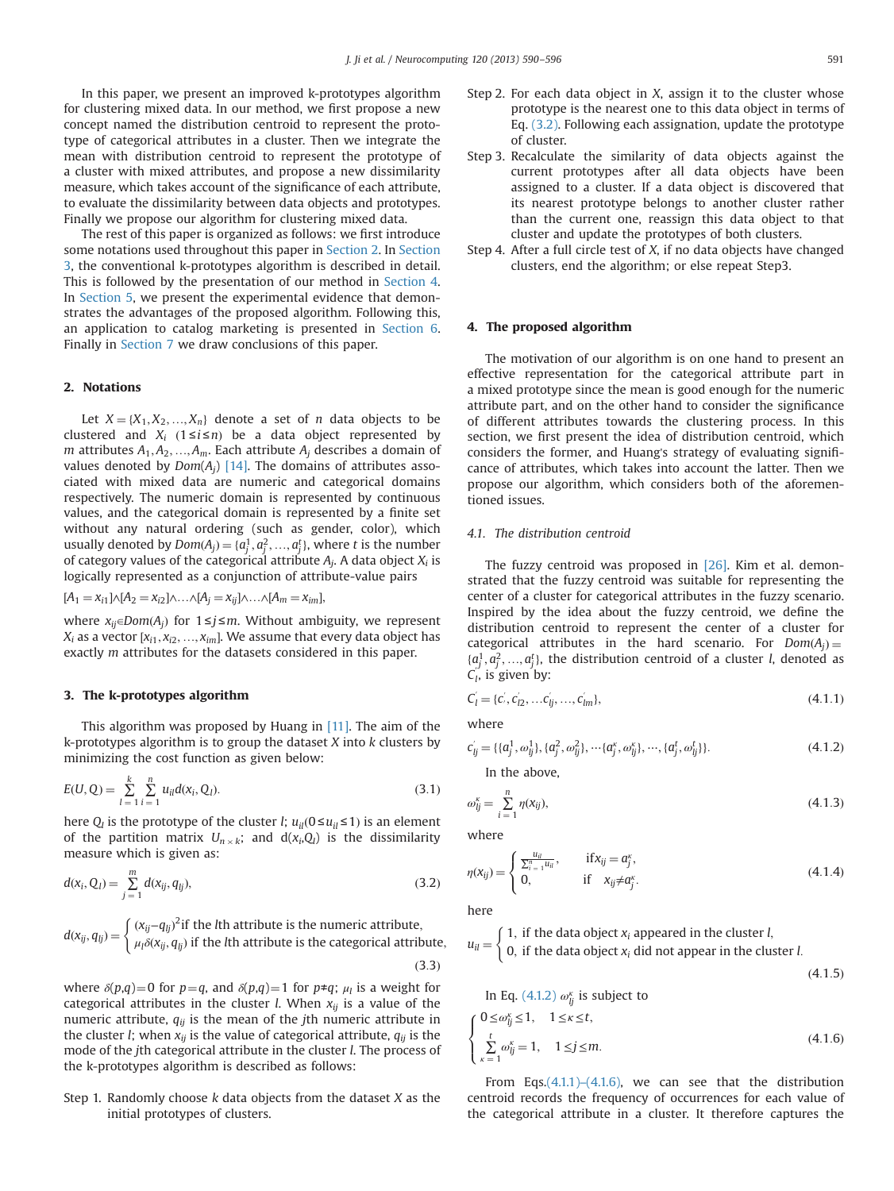In this paper, we present an improved k-prototypes algorithm for clustering mixed data. In our method, we first propose a new concept named the distribution centroid to represent the prototype of categorical attributes in a cluster. Then we integrate the mean with distribution centroid to represent the prototype of a cluster with mixed attributes, and propose a new dissimilarity measure, which takes account of the significance of each attribute, to evaluate the dissimilarity between data objects and prototypes. Finally we propose our algorithm for clustering mixed data.

The rest of this paper is organized as follows: we first introduce some notations used throughout this paper in Section 2. In Section 3, the conventional k-prototypes algorithm is described in detail. This is followed by the presentation of our method in Section 4. In Section 5, we present the experimental evidence that demonstrates the advantages of the proposed algorithm. Following this, an application to catalog marketing is presented in Section 6. Finally in Section 7 we draw conclusions of this paper.

#### 2. Notations

Let  $X = \{X_1, X_2, ..., X_n\}$  denote a set of *n* data objects to be clustered and  $X_i$  (1 ≤i ≤n) be a data object represented by m attributes  $A_1, A_2, ..., A_m$ . Each attribute  $A_i$  describes a domain of values denoted by  $Dom(A_i)$  [14]. The domains of attributes associated with mixed data are numeric and categorical domains respectively. The numeric domain is represented by continuous values, and the categorical domain is represented by a finite set without any natural ordering (such as gender, color), which usually denoted by  $Dom(A_j) = \{a_j^1, a_j^2, ..., a_j^t\}$ , where t is the number<br>of category values of the categorical attribute 4. A data object X, is of category values of the categorical attribute  $A_i$ . A data object  $X_i$  is logically represented as a conjunction of attribute-value pairs

$$
[A_1 = x_{i1}] \wedge [A_2 = x_{i2}] \wedge \ldots \wedge [A_j = x_{ij}] \wedge \ldots \wedge [A_m = x_{im}],
$$

where  $x_{ij}$ ∈Dom( $A_i$ ) for 1≤*j*≤m. Without ambiguity, we represent  $X_i$  as a vector  $[x_{i1}, x_{i2}, ..., x_{im}]$ . We assume that every data object has exactly mentioned in this paper. exactly m attributes for the datasets considered in this paper.

#### 3. The k-prototypes algorithm

This algorithm was proposed by Huang in [11]. The aim of the  $k$ -prototypes algorithm is to group the dataset  $X$  into  $k$  clusters by minimizing the cost function as given below:

$$
E(U,Q) = \sum_{l=1}^{k} \sum_{i=1}^{n} u_{il} d(x_i, Q_l).
$$
 (3.1)

here  $Q_l$  is the prototype of the cluster l;  $u_{il}(0 \le u_{il} \le 1)$  is an element of the partition matrix  $U_{n \times k}$ ; and  $d(x_i, Q_i)$  is the dissimilarity measure which is given as:

$$
d(x_i, Q_i) = \sum_{j=1}^{m} d(x_{ij}, q_{ij}),
$$
\n(3.2)

 $d(x_{ij}, q_{ij}) = \begin{cases} (x_{ij} - q_{ij})^2 \text{ if the } l \text{th attribute is the numeric attribute}, \\ \mu_l \delta(x_{ij}, q_{ij}) \text{ if the } l \text{th attribute is the categorical attribute}. \end{cases}$  $\mu_l\delta(x_{ij}, q_{lj})$  if the lth attribute is the categorical attribute,  $\sqrt{ }$ 

 $(3.3)$ where  $\delta(p,q)=0$  for  $p=q$ , and  $\delta(p,q)=1$  for  $p\neq q$ ;  $\mu_l$  is a weight for categorical attributes in the cluster *l*. When  $x_{ii}$  is a value of the numeric attribute,  $q_{ij}$  is the mean of the jth numeric attribute in the cluster *l*; when  $x_{ii}$  is the value of categorical attribute,  $q_{ii}$  is the mode of the jth categorical attribute in the cluster l. The process of the k-prototypes algorithm is described as follows:

Step 1. Randomly choose  $k$  data objects from the dataset  $X$  as the initial prototypes of clusters.

- Step 2. For each data object in  $X$ , assign it to the cluster whose prototype is the nearest one to this data object in terms of Eq. (3.2). Following each assignation, update the prototype of cluster.
- Step 3. Recalculate the similarity of data objects against the current prototypes after all data objects have been assigned to a cluster. If a data object is discovered that its nearest prototype belongs to another cluster rather than the current one, reassign this data object to that cluster and update the prototypes of both clusters.
- Step 4. After a full circle test of X, if no data objects have changed clusters, end the algorithm; or else repeat Step3.

#### 4. The proposed algorithm

The motivation of our algorithm is on one hand to present an effective representation for the categorical attribute part in a mixed prototype since the mean is good enough for the numeric attribute part, and on the other hand to consider the significance of different attributes towards the clustering process. In this section, we first present the idea of distribution centroid, which considers the former, and Huang's strategy of evaluating significance of attributes, which takes into account the latter. Then we propose our algorithm, which considers both of the aforementioned issues.

## 4.1. The distribution centroid

The fuzzy centroid was proposed in [26]. Kim et al. demonstrated that the fuzzy centroid was suitable for representing the center of a cluster for categorical attributes in the fuzzy scenario. Inspired by the idea about the fuzzy centroid, we define the distribution centroid to represent the center of a cluster for categorical attributes in the hard scenario. For  $Dom(A_i) =$  $\{a_j^1, a_j^2, \ldots, a_j^t\}$ , the distribution centroid of a cluster *l*, denoted as  $C_l$ , is given by:

$$
C'_{l} = \{c', c'_{l2}, \dots c'_{lj}, \dots, c'_{lm}\},\tag{4.1.1}
$$

where

$$
c'_{ij} = \{ \{a_j^1, \omega_{ij}^1\}, \{a_j^2, \omega_{ij}^2\}, \cdots \{a_j^k, \omega_{ij}^k\}, \cdots, \{a_j^t, \omega_{ij}^t\} \}.
$$
\n(4.1.2)

In the above,

$$
\omega_{ij}^{\kappa} = \sum_{i=1}^{n} \eta(x_{ij}),\tag{4.1.3}
$$

where

$$
\eta(x_{ij}) = \begin{cases} \frac{u_{ij}}{\sum_{i=1}^{n} u_{ii}}, & \text{if } x_{ij} = a_j^{\kappa}, \\ 0, & \text{if } x_{ij} \neq a_j^{\kappa}. \end{cases}
$$
\n(4.1.4)

here

 $u_{il} = \begin{cases} 1, & \text{if the data object } x_i \text{ appeared in the cluster } l, \\ 0, & \text{if the data object } x_i \text{ did not appear in the cluster } l. \end{cases}$  $\sqrt{ }$  $(4.1.5)$ 

In Eq. (4.1.2)  $\omega_{lj}^{\kappa}$  is subject to

$$
\begin{cases} 0 \le \omega_{ij}^{\kappa} \le 1, & 1 \le \kappa \le t, \\ \sum_{\kappa=1}^{t} \omega_{ij}^{\kappa} = 1, & 1 \le j \le m. \end{cases}
$$
\n(4.1.6)

From Eqs.(4.1.1)–(4.1.6), we can see that the distribution centroid records the frequency of occurrences for each value of the categorical attribute in a cluster. It therefore captures the